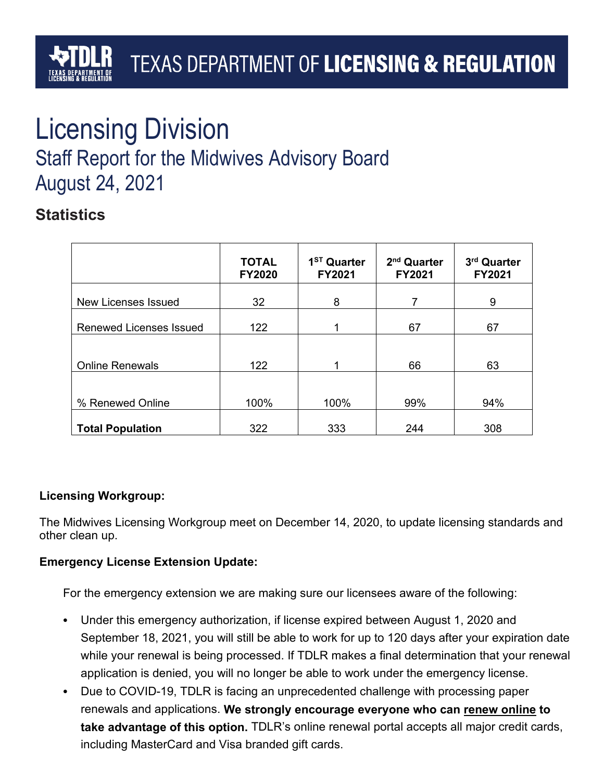# Licensing Division

## Staff Report for the Midwives Advisory Board August 24, 2021

## **Statistics**

|                                | <b>TOTAL</b><br><b>FY2020</b> | 1 <sup>ST</sup> Quarter<br>FY2021 | 2 <sup>nd</sup> Quarter<br><b>FY2021</b> | 3rd Quarter<br>FY2021 |
|--------------------------------|-------------------------------|-----------------------------------|------------------------------------------|-----------------------|
| <b>New Licenses Issued</b>     | 32                            | 8                                 | 7                                        | 9                     |
| <b>Renewed Licenses Issued</b> | 122                           |                                   | 67                                       | 67                    |
|                                |                               |                                   |                                          |                       |
| <b>Online Renewals</b>         | 122                           |                                   | 66                                       | 63                    |
|                                |                               |                                   |                                          |                       |
| % Renewed Online               | 100%                          | 100%                              | 99%                                      | 94%                   |
| <b>Total Population</b>        | 322                           | 333                               | 244                                      | 308                   |

#### **Licensing Workgroup:**

The Midwives Licensing Workgroup meet on December 14, 2020, to update licensing standards and other clean up.

#### **Emergency License Extension Update:**

For the emergency extension we are making sure our licensees aware of the following:

- Under this emergency authorization, if license expired between August 1, 2020 and September 18, 2021, you will still be able to work for up to 120 days after your expiration date while your renewal is being processed. If TDLR makes a final determination that your renewal application is denied, you will no longer be able to work under the emergency license.
- Due to COVID-19, TDLR is facing an unprecedented challenge with processing paper renewals and applications. **We strongly encourage everyone who can renew [online](https://www.tdlr.texas.gov/services.htm) to take advantage of this option.** TDLR's online renewal portal accepts all major credit cards, including MasterCard and Visa branded gift cards.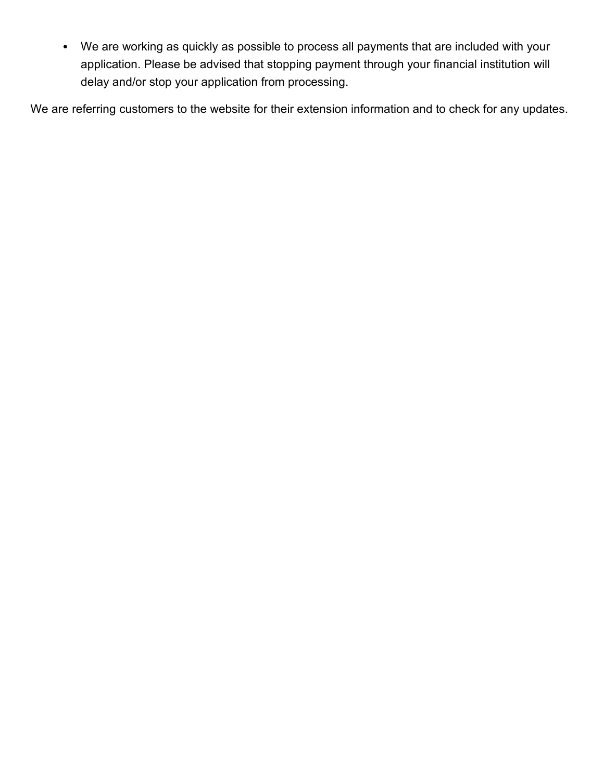• We are working as quickly as possible to process all payments that are included with your application. Please be advised that stopping payment through your financial institution will delay and/or stop your application from processing.

We are referring customers to the website for their extension information and to check for any updates.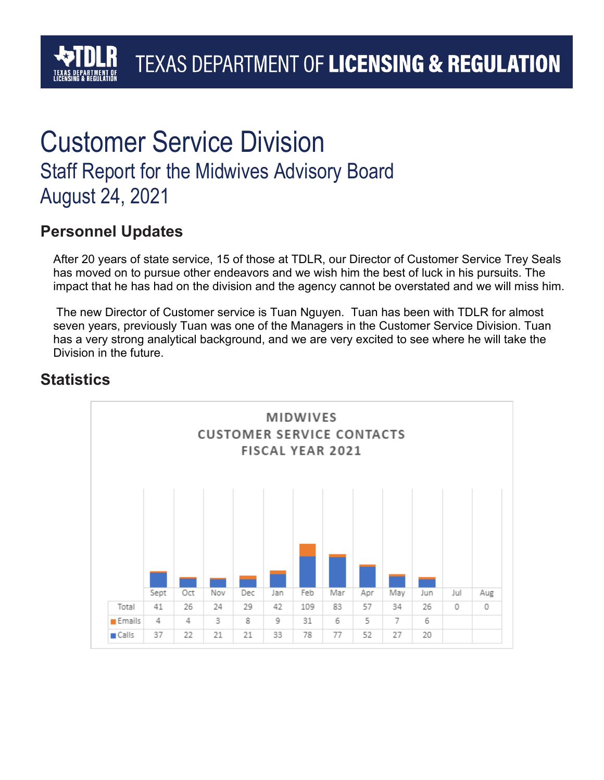## TEXAS DEPARTMENT OF LICENSING & REGULATION

## Customer Service Division Staff Report for the Midwives Advisory Board August 24, 2021

## **Personnel Updates**

After 20 years of state service, 15 of those at TDLR, our Director of Customer Service Trey Seals has moved on to pursue other endeavors and we wish him the best of luck in his pursuits. The impact that he has had on the division and the agency cannot be overstated and we will miss him.

The new Director of Customer service is Tuan Nguyen. Tuan has been with TDLR for almost seven years, previously Tuan was one of the Managers in the Customer Service Division. Tuan has a very strong analytical background, and we are very excited to see where he will take the Division in the future.

## **Statistics**

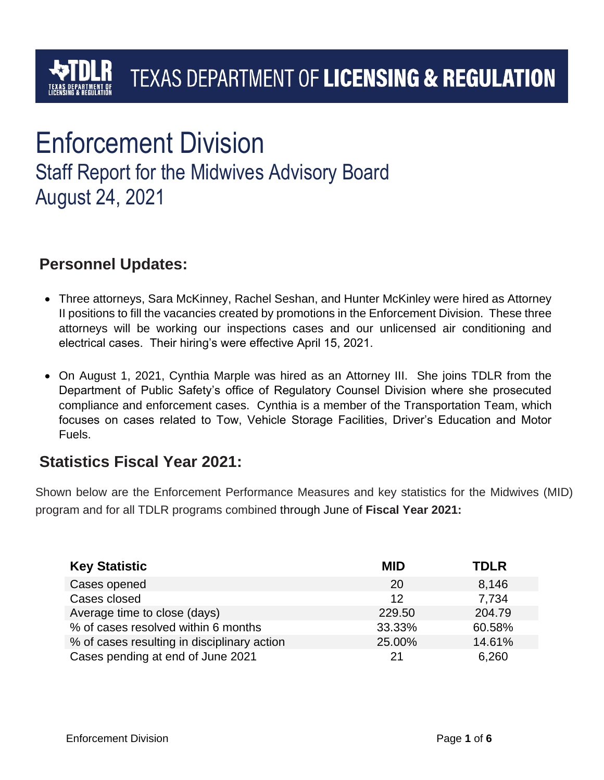## Enforcement Division

Staff Report for the Midwives Advisory Board August 24, 2021

## **Personnel Updates:**

- Three attorneys, Sara McKinney, Rachel Seshan, and Hunter McKinley were hired as Attorney II positions to fill the vacancies created by promotions in the Enforcement Division. These three attorneys will be working our inspections cases and our unlicensed air conditioning and electrical cases. Their hiring's were effective April 15, 2021.
- On August 1, 2021, Cynthia Marple was hired as an Attorney III. She joins TDLR from the Department of Public Safety's office of Regulatory Counsel Division where she prosecuted compliance and enforcement cases. Cynthia is a member of the Transportation Team, which focuses on cases related to Tow, Vehicle Storage Facilities, Driver's Education and Motor Fuels.

## **Statistics Fiscal Year 2021:**

Shown below are the Enforcement Performance Measures and key statistics for the Midwives (MID) program and for all TDLR programs combined through June of **Fiscal Year 2021:**

| <b>Key Statistic</b>                        | <b>MID</b> | <b>TDLR</b> |
|---------------------------------------------|------------|-------------|
| Cases opened                                | 20         | 8,146       |
| Cases closed                                | 12         | 7,734       |
| Average time to close (days)                | 229.50     | 204.79      |
| % of cases resolved within 6 months         | 33.33%     | 60.58%      |
| % of cases resulting in disciplinary action | 25.00%     | 14.61%      |
| Cases pending at end of June 2021           | 21         | 6,260       |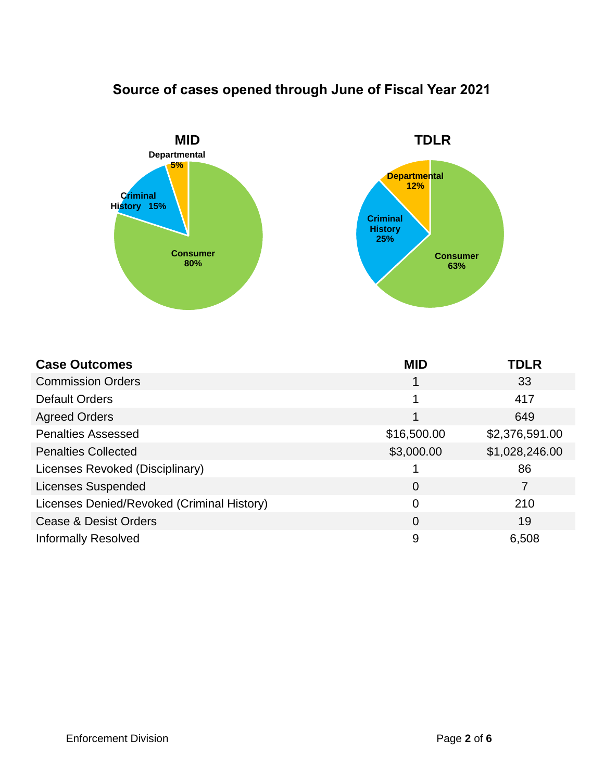## **Source of cases opened through June of Fiscal Year 2021**



| <b>Case Outcomes</b>                       | <b>MID</b>     | <b>TDLR</b>    |
|--------------------------------------------|----------------|----------------|
| <b>Commission Orders</b>                   | 1              | 33             |
| <b>Default Orders</b>                      | 1              | 417            |
| <b>Agreed Orders</b>                       | 1              | 649            |
| <b>Penalties Assessed</b>                  | \$16,500.00    | \$2,376,591.00 |
| <b>Penalties Collected</b>                 | \$3,000.00     | \$1,028,246.00 |
| Licenses Revoked (Disciplinary)            |                | 86             |
| <b>Licenses Suspended</b>                  | $\overline{0}$ | 7              |
| Licenses Denied/Revoked (Criminal History) | $\overline{0}$ | 210            |
| Cease & Desist Orders                      | $\overline{0}$ | 19             |
| <b>Informally Resolved</b>                 | 9              | 6,508          |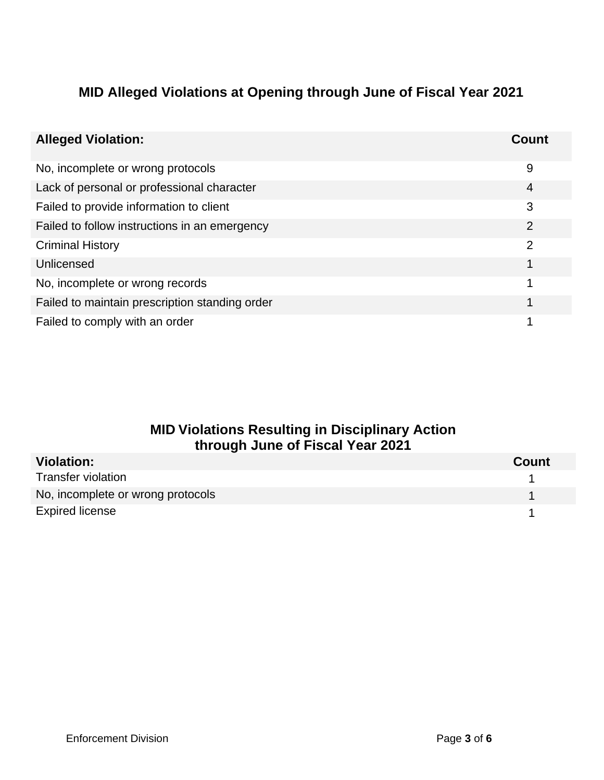### **MID Alleged Violations at Opening through June of Fiscal Year 2021**

| <b>Alleged Violation:</b>                      | Count          |
|------------------------------------------------|----------------|
| No, incomplete or wrong protocols              | 9              |
| Lack of personal or professional character     | 4              |
| Failed to provide information to client        | 3              |
| Failed to follow instructions in an emergency  | $\overline{2}$ |
| <b>Criminal History</b>                        | 2              |
| Unlicensed                                     |                |
| No, incomplete or wrong records                | 1              |
| Failed to maintain prescription standing order |                |
| Failed to comply with an order                 |                |

#### **MID Violations Resulting in Disciplinary Action through June of Fiscal Year 2021**

| <b>Violation:</b>                 | <b>Count</b> |
|-----------------------------------|--------------|
| <b>Transfer violation</b>         |              |
| No, incomplete or wrong protocols |              |
| <b>Expired license</b>            |              |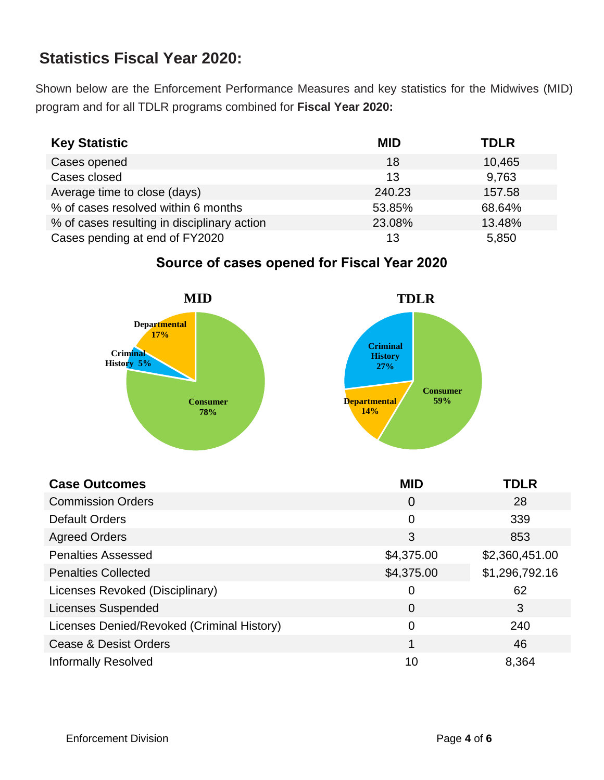## **Statistics Fiscal Year 2020:**

Shown below are the Enforcement Performance Measures and key statistics for the Midwives (MID) program and for all TDLR programs combined for **Fiscal Year 2020:**

| <b>Key Statistic</b>                        | <b>MID</b> | <b>TDLR</b> |
|---------------------------------------------|------------|-------------|
| Cases opened                                | 18         | 10,465      |
| Cases closed                                | 13         | 9,763       |
| Average time to close (days)                | 240.23     | 157.58      |
| % of cases resolved within 6 months         | 53.85%     | 68.64%      |
| % of cases resulting in disciplinary action | 23.08%     | 13.48%      |
| Cases pending at end of FY2020              | 13         | 5,850       |

#### **Departmental 17% MID Criminal History TDLR**

**Source of cases opened for Fiscal Year 2020**

|                            | -----                      |
|----------------------------|----------------------------|
| <b>Departmental</b><br>17% | <b>Criminal</b>            |
| Criminal                   |                            |
| History 5%                 | <b>History</b>             |
|                            | 27%<br><b>Consumer</b>     |
| <b>Consumer</b>            | 59%<br><b>Departmental</b> |
| 78%                        | 14%                        |

| <b>Case Outcomes</b>                       | <b>MID</b>     | <b>TDLR</b>    |
|--------------------------------------------|----------------|----------------|
| <b>Commission Orders</b>                   | $\Omega$       | 28             |
| <b>Default Orders</b>                      | $\overline{0}$ | 339            |
| <b>Agreed Orders</b>                       | 3              | 853            |
| <b>Penalties Assessed</b>                  | \$4,375.00     | \$2,360,451.00 |
| <b>Penalties Collected</b>                 | \$4,375.00     | \$1,296,792.16 |
| Licenses Revoked (Disciplinary)            | $\overline{0}$ | 62             |
| <b>Licenses Suspended</b>                  | $\overline{0}$ | 3              |
| Licenses Denied/Revoked (Criminal History) | $\overline{0}$ | 240            |
| <b>Cease &amp; Desist Orders</b>           | 1              | 46             |
| <b>Informally Resolved</b>                 | 10             | 8,364          |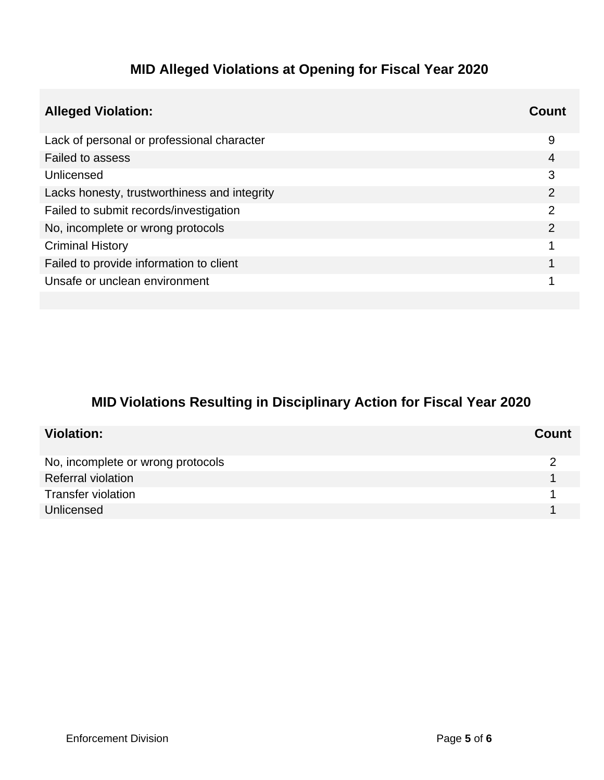## **MID Alleged Violations at Opening for Fiscal Year 2020**

| <b>Alleged Violation:</b>                    | Count         |
|----------------------------------------------|---------------|
| Lack of personal or professional character   | 9             |
| <b>Failed to assess</b>                      | 4             |
| Unlicensed                                   | 3             |
| Lacks honesty, trustworthiness and integrity | $\mathcal{P}$ |
| Failed to submit records/investigation       | 2             |
| No, incomplete or wrong protocols            | 2             |
| <b>Criminal History</b>                      |               |
| Failed to provide information to client      |               |
| Unsafe or unclean environment                |               |
|                                              |               |

## **MID Violations Resulting in Disciplinary Action for Fiscal Year 2020**

| <b>Violation:</b>                 | Count |
|-----------------------------------|-------|
| No, incomplete or wrong protocols |       |
| <b>Referral violation</b>         |       |
| <b>Transfer violation</b>         |       |
| Unlicensed                        |       |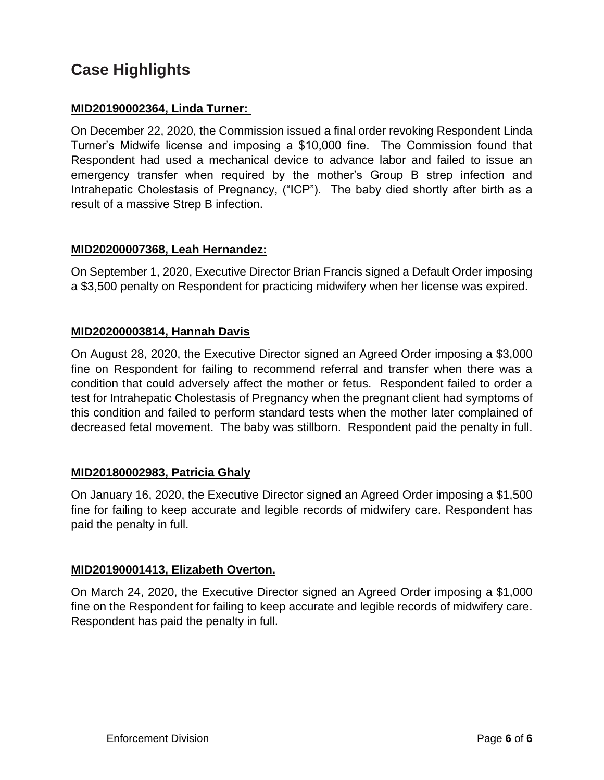## **Case Highlights**

#### **MID20190002364, Linda Turner:**

On December 22, 2020, the Commission issued a final order revoking Respondent Linda Turner's Midwife license and imposing a \$10,000 fine. The Commission found that Respondent had used a mechanical device to advance labor and failed to issue an emergency transfer when required by the mother's Group B strep infection and Intrahepatic Cholestasis of Pregnancy, ("ICP"). The baby died shortly after birth as a result of a massive Strep B infection.

#### **MID20200007368, Leah Hernandez:**

On September 1, 2020, Executive Director Brian Francis signed a Default Order imposing a \$3,500 penalty on Respondent for practicing midwifery when her license was expired.

#### **MID20200003814, Hannah Davis**

On August 28, 2020, the Executive Director signed an Agreed Order imposing a \$3,000 fine on Respondent for failing to recommend referral and transfer when there was a condition that could adversely affect the mother or fetus. Respondent failed to order a test for Intrahepatic Cholestasis of Pregnancy when the pregnant client had symptoms of this condition and failed to perform standard tests when the mother later complained of decreased fetal movement. The baby was stillborn. Respondent paid the penalty in full.

#### **MID20180002983, Patricia Ghaly**

On January 16, 2020, the Executive Director signed an Agreed Order imposing a \$1,500 fine for failing to keep accurate and legible records of midwifery care. Respondent has paid the penalty in full.

#### **MID20190001413, Elizabeth Overton.**

On March 24, 2020, the Executive Director signed an Agreed Order imposing a \$1,000 fine on the Respondent for failing to keep accurate and legible records of midwifery care. Respondent has paid the penalty in full.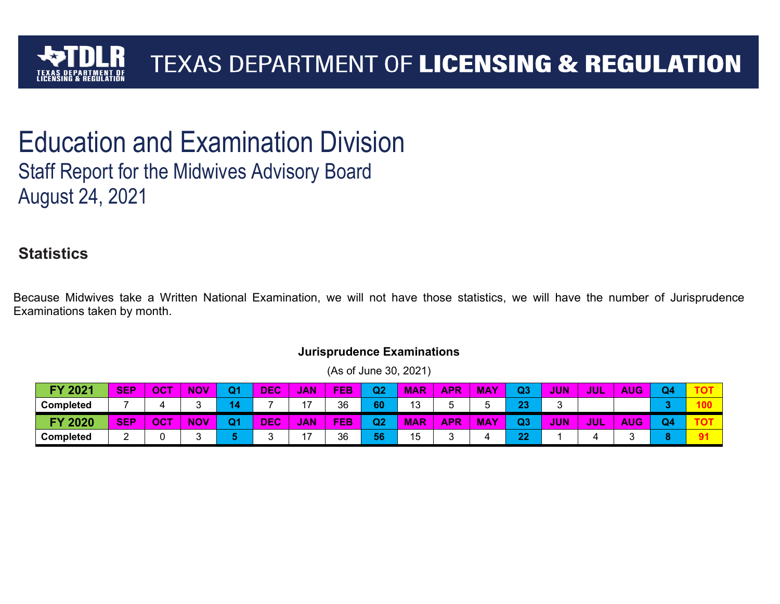

## Education and Examination Division Staff Report for the Midwives Advisory Board August 24, 2021

## **Statistics**

Because Midwives take a Written National Examination, we will not have those statistics, we will have the number of Jurisprudence Examinations taken by month.

| 2021<br><b>EV</b> | <b>SEP</b> | OCT | <b>NOV</b> | Q1 | <b>DEC</b> | JAN, | <b>FEB</b> | Q2 | <b>MAR</b> | <b>APR</b> | <b>MAY</b> | Q3        | <b>JUN</b> | <b>JUL</b> | <b>AUG</b> | Q <sub>4</sub> |    |
|-------------------|------------|-----|------------|----|------------|------|------------|----|------------|------------|------------|-----------|------------|------------|------------|----------------|----|
| <b>Completed</b>  |            |     |            |    |            | 47   | 36         | 60 | 13         |            |            | no.<br>40 | ⌒          |            |            |                |    |
| <b>FY 2020</b>    | <b>SEP</b> | OCT | <b>NOV</b> | Q1 | <b>DEC</b> | JAN, | <b>FEB</b> | Q2 | <b>MAR</b> | <b>APR</b> | <b>MAY</b> | റാ<br>u.o | JUN        | <b>JUL</b> | <b>AUG</b> | Q <sub>4</sub> |    |
| <b>Completed</b>  |            |     |            |    |            | 47   | 36         | 56 | 15         | ⌒          |            | クク        |            |            |            |                | 91 |

#### **Jurisprudence Examinations**  (As of June 30, 2021)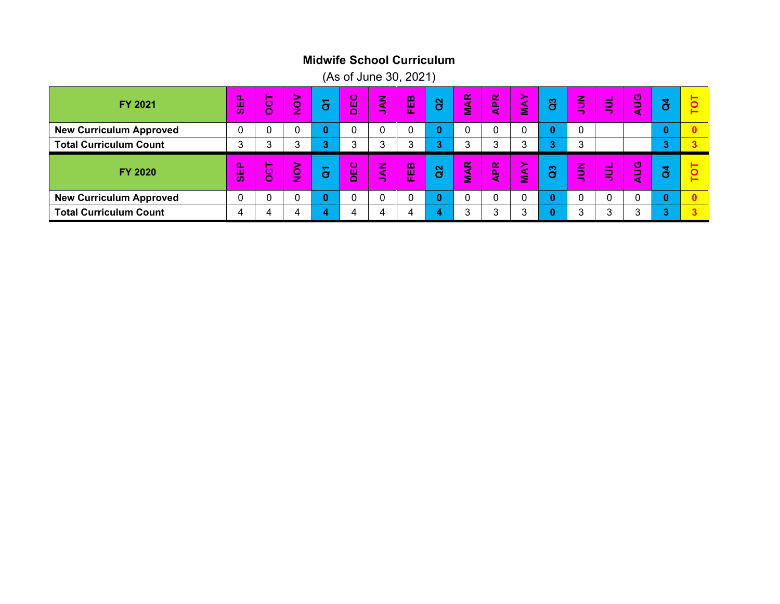#### **Midwife School Curriculum**

(As of June 30, 2021)

| FY 2021                        | 喦<br>$\boldsymbol{\omega}$       | . .<br>ပ္ပ            | ><br>ĝ              | မြ | DEC | $\mathbf{\tilde{z}}$<br>- | $\mathbf m$<br>ш<br>w | <sup>2</sup> | Œ<br>$\frac{4}{5}$ | $\mathbf{R}$<br>k | י<ו<br>$\tilde{\mathbf{z}}$ | <b>a</b>  | z<br>-<br>–<br>-                        | $\sim$<br>-<br>$=$                        | $\mathbf{C}$                    | đ            |  |
|--------------------------------|----------------------------------|-----------------------|---------------------|----|-----|---------------------------|-----------------------|--------------|--------------------|-------------------|-----------------------------|-----------|-----------------------------------------|-------------------------------------------|---------------------------------|--------------|--|
| <b>New Curriculum Approved</b> |                                  |                       | 0                   | 0  |     |                           |                       | $\bf{0}$     |                    |                   |                             | 0         |                                         |                                           |                                 | O            |  |
| <b>Total Curriculum Count</b>  | ◠                                | ⌒                     | 3                   |    | 3   |                           |                       | 3            | 3                  | 3                 | ົ                           | $\bullet$ | າ<br>$\mathbf{r}$                       |                                           |                                 | ۰            |  |
|                                |                                  |                       |                     |    |     |                           |                       |              |                    |                   |                             |           |                                         |                                           |                                 |              |  |
| FY 2020                        | p.<br>ш<br>$\boldsymbol{\omega}$ | _<br>$\mathbf C$<br>Ō | 2.<br>$\frac{1}{2}$ | မြ | DEC | E)<br>-                   | $\mathbf{m}$<br>L.    | <sup>2</sup> | <b>MAR</b>         | <b>APR</b>        | ≻<br>$\tilde{\mathbf{z}}$   | <b>a</b>  | z<br>-<br>-<br>$\overline{\phantom{a}}$ | $\sim$<br>$\overline{\phantom{a}}$<br>$=$ | $\mathbf 0$<br>-<br>$\sim$<br>๔ | $\mathbf{a}$ |  |
| <b>New Curriculum Approved</b> |                                  |                       | 0                   | 0  |     |                           |                       | $\bf{0}$     | ◠                  |                   |                             | 0         |                                         |                                           |                                 | 0            |  |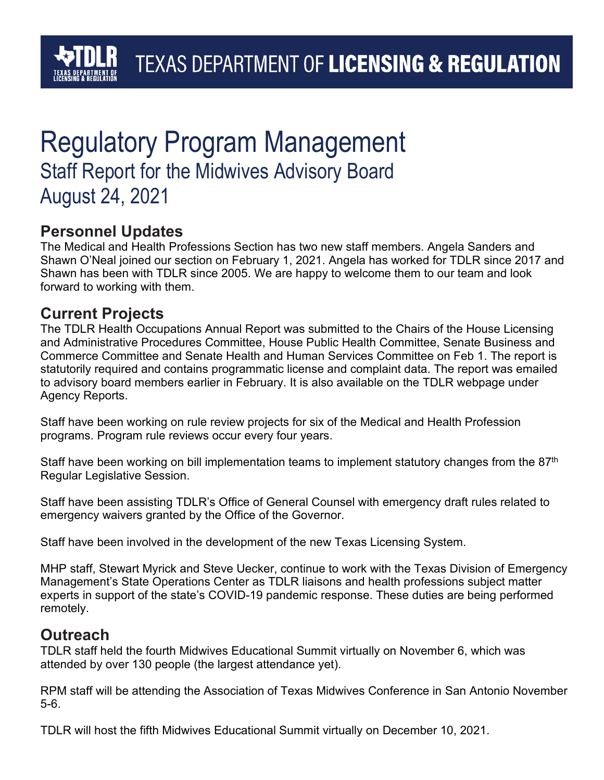## Regulatory Program Management Staff Report for the Midwives Advisory Board August 24, 2021

## **Personnel Updates**

The Medical and Health Professions Section has two new staff members. Angela Sanders and Shawn O'Neal joined our section on February 1, 2021. Angela has worked for TDLR since 2017 and Shawn has been with TDLR since 2005. We are happy to welcome them to our team and look forward to working with them.

## **Current Projects**

The TDLR Health Occupations Annual Report was submitted to the Chairs of the House Licensing and Administrative Procedures Committee, House Public Health Committee, Senate Business and Commerce Committee and Senate Health and Human Services Committee on Feb 1. The report is statutorily required and contains programmatic license and complaint data. The report was emailed to advisory board members earlier in February. It is also available on the TDLR webpage under Agency Reports.

Staff have been working on rule review projects for six of the Medical and Health Profession programs. Program rule reviews occur every four years.

Staff have been working on bill implementation teams to implement statutory changes from the  $87<sup>th</sup>$ Regular Legislative Session.

Staff have been assisting TDLR's Office of General Counsel with emergency draft rules related to emergency waivers granted by the Office of the Governor.

Staff have been involved in the development of the new Texas Licensing System.

MHP staff, Stewart Myrick and Steve Uecker, continue to work with the Texas Division of Emergency Management's State Operations Center as TDLR liaisons and health professions subject matter experts in support of the state's COVID-19 pandemic response. These duties are being performed remotely.

### **Outreach**

TDLR staff held the fourth Midwives Educational Summit virtually on November 6, which was attended by over 130 people (the largest attendance yet).

RPM staff will be attending the Association of Texas Midwives Conference in San Antonio November 5-6.

TDLR will host the fifth Midwives Educational Summit virtually on December 10, 2021.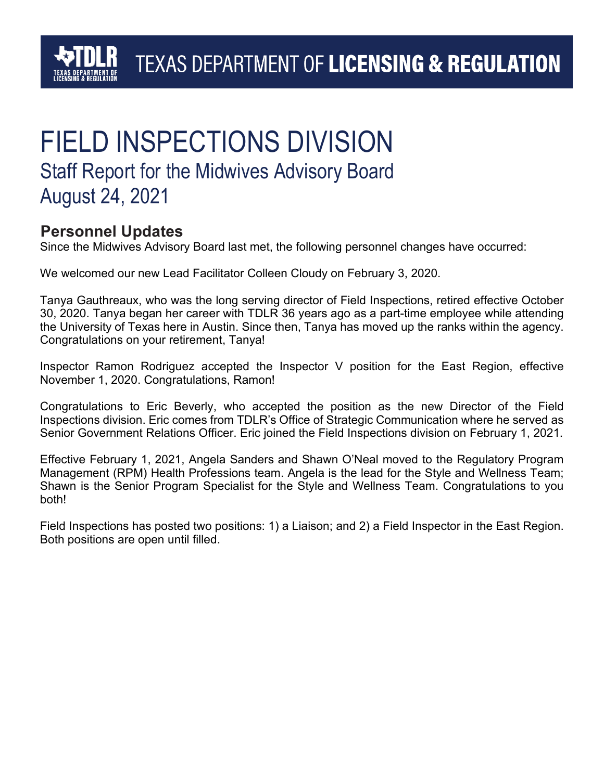## **TEXAS DEPARTMENT OF LICENSING & REGULATION**

## FIELD INSPECTIONS DIVISION Staff Report for the Midwives Advisory Board August 24, 2021

### **Personnel Updates**

Since the Midwives Advisory Board last met, the following personnel changes have occurred:

We welcomed our new Lead Facilitator Colleen Cloudy on February 3, 2020.

Tanya Gauthreaux, who was the long serving director of Field Inspections, retired effective October 30, 2020. Tanya began her career with TDLR 36 years ago as a part-time employee while attending the University of Texas here in Austin. Since then, Tanya has moved up the ranks within the agency. Congratulations on your retirement, Tanya!

Inspector Ramon Rodriguez accepted the Inspector V position for the East Region, effective November 1, 2020. Congratulations, Ramon!

Congratulations to Eric Beverly, who accepted the position as the new Director of the Field Inspections division. Eric comes from TDLR's Office of Strategic Communication where he served as Senior Government Relations Officer. Eric joined the Field Inspections division on February 1, 2021.

Effective February 1, 2021, Angela Sanders and Shawn O'Neal moved to the Regulatory Program Management (RPM) Health Professions team. Angela is the lead for the Style and Wellness Team; Shawn is the Senior Program Specialist for the Style and Wellness Team. Congratulations to you both!

Field Inspections has posted two positions: 1) a Liaison; and 2) a Field Inspector in the East Region. Both positions are open until filled.